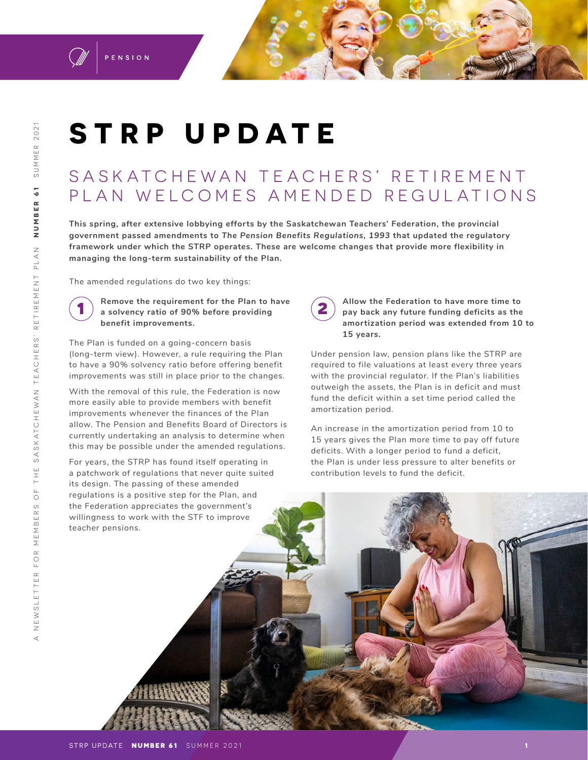

# **STRP UPDATE**

## SA SKATCHEWAN TEACHERS' RETIREMENT PLAN WELCOMES AMENDED REGULATIONS

**This spring, after extensive lobbying efforts by the Saskatchewan Teachers' Federation, the provincial government passed amendments to** *The Pension Benefits Regulations, 1993* **that updated the regulatory framework under which the STRP operates. These are welcome changes that provide more flexibility in managing the long-term sustainability of the Plan.**

The amended regulations do two key things:



**1 Remove the requirement for the Plan to have a solvency ratio of 90% before providing benefit improvements.**

The Plan is funded on a going-concern basis (long-term view). However, a rule requiring the Plan to have a 90% solvency ratio before offering benefit improvements was still in place prior to the changes.

With the removal of this rule, the Federation is now more easily able to provide members with benefit improvements whenever the finances of the Plan allow. The Pension and Benefits Board of Directors is currently undertaking an analysis to determine when this may be possible under the amended regulations.

For years, the STRP has found itself operating in a patchwork of regulations that never quite suited its design. The passing of these amended regulations is a positive step for the Plan, and the Federation appreciates the government's willingness to work with the STF to improve teacher pensions.

**2 Allow the Federation to have more time to pay back any future funding deficits as the amortization period was extended from 10 to 15 years.** 

Under pension law, pension plans like the STRP are required to file valuations at least every three years with the provincial regulator. If the Plan's liabilities outweigh the assets, the Plan is in deficit and must fund the deficit within a set time period called the amortization period.

An increase in the amortization period from 10 to 15 years gives the Plan more time to pay off future deficits. With a longer period to fund a deficit, the Plan is under less pressure to alter benefits or contribution levels to fund the deficit.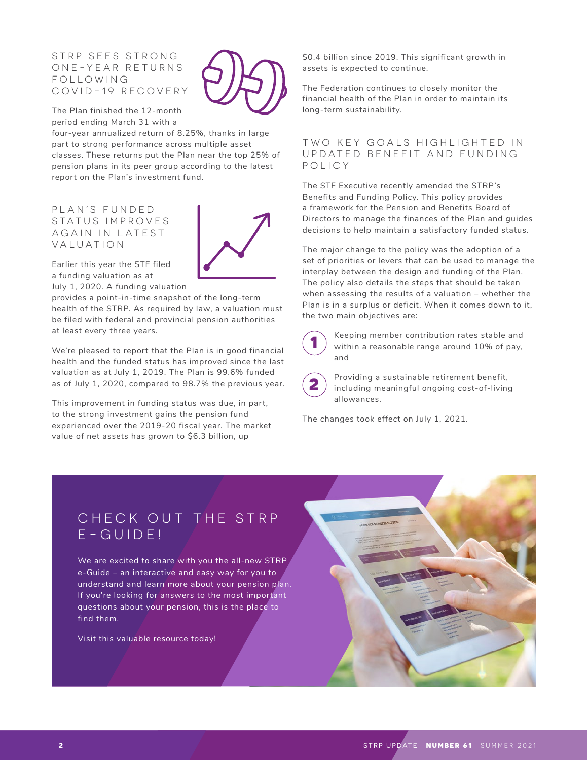#### STRP SEES STRONG O N E - Y E A R R E T U R N S F O L L O W I N G COVID-19 RECOVERY

The Plan finished the 12-month period ending March 31 with a

four-year annualized return of 8.25%, thanks in large part to strong performance across multiple asset classes. These returns put the Plan near the top 25% of pension plans in its peer group according to the latest report on the Plan's investment fund.

PLAN'S FUNDED STATUS IMPROVES A G A IN IN LATEST VALUATION



Earlier this year the STF filed a funding valuation as at July 1, 2020. A funding valuation

provides a point-in-time snapshot of the long-term health of the STRP. As required by law, a valuation must be filed with federal and provincial pension authorities at least every three years.

We're pleased to report that the Plan is in good financial health and the funded status has improved since the last valuation as at July 1, 2019. The Plan is 99.6% funded as of July 1, 2020, compared to 98.7% the previous year.

This improvement in funding status was due, in part, to the strong investment gains the pension fund experienced over the 2019-20 fiscal year. The market value of net assets has grown to \$6.3 billion, up

\$0.4 billion since 2019. This significant growth in assets is expected to continue.

The Federation continues to closely monitor the financial health of the Plan in order to maintain its long-term sustainability.

#### TWO KEY GOALS HIGHLIGHTED IN U P D A T E D B E N E F I T A N D F U N D I N G POLICY

The STF Executive recently amended the STRP's Benefits and Funding Policy. This policy provides a framework for the Pension and Benefits Board of Directors to manage the finances of the Plan and guides decisions to help maintain a satisfactory funded status.

The major change to the policy was the adoption of a set of priorities or levers that can be used to manage the interplay between the design and funding of the Plan. The policy also details the steps that should be taken when assessing the results of a valuation – whether the Plan is in a surplus or deficit. When it comes down to it, the two main objectives are:



**1** Keeping member contribution rates stable and within a reasonable range around 10% of pay, and

**2** Providing a sustainable retirement benefit,<br>including meaningful ongoing cost-of-living allowances.

The changes took effect on July 1, 2021.

### CHECK OUT THE STRP E-GUIDE!

We are excited to share with you the all-new STRP e-Guide – an interactive and easy way for you to understand and learn more about your pension plan. If you're looking for answers to the most important questions about your pension, this is the place to find them.

[Visit this valuable resource today!](https://www.stf.sk.ca/your-stf-pension-e-guide)

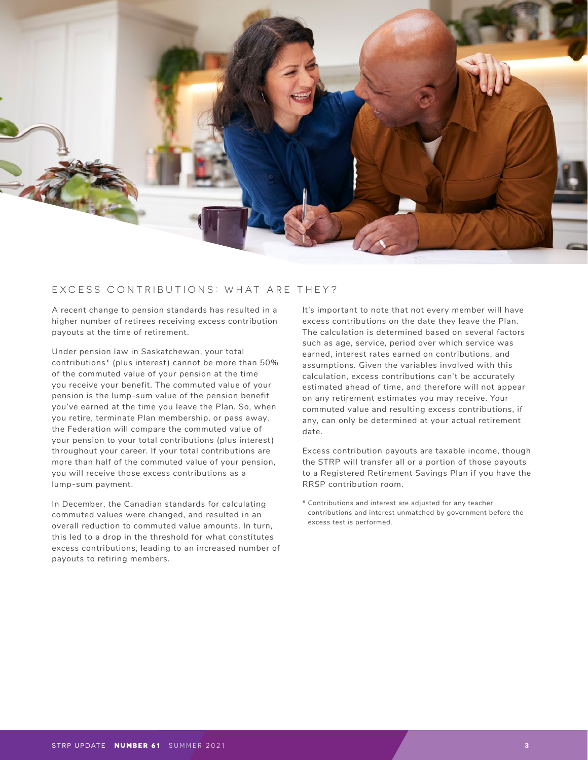

#### EXCESS CONTRIBUTIONS: WHAT ARE THEY?

A recent change to pension standards has resulted in a higher number of retirees receiving excess contribution payouts at the time of retirement.

Under pension law in Saskatchewan, your total contributions\* (plus interest) cannot be more than 50% of the commuted value of your pension at the time you receive your benefit. The commuted value of your pension is the lump-sum value of the pension benefit you've earned at the time you leave the Plan. So, when you retire, terminate Plan membership, or pass away, the Federation will compare the commuted value of your pension to your total contributions (plus interest) throughout your career. If your total contributions are more than half of the commuted value of your pension, you will receive those excess contributions as a lump-sum payment.

In December, the Canadian standards for calculating commuted values were changed, and resulted in an overall reduction to commuted value amounts. In turn, this led to a drop in the threshold for what constitutes excess contributions, leading to an increased number of payouts to retiring members.

It's important to note that not every member will have excess contributions on the date they leave the Plan. The calculation is determined based on several factors such as age, service, period over which service was earned, interest rates earned on contributions, and assumptions. Given the variables involved with this calculation, excess contributions can't be accurately estimated ahead of time, and therefore will not appear on any retirement estimates you may receive. Your commuted value and resulting excess contributions, if any, can only be determined at your actual retirement date.

Excess contribution payouts are taxable income, though the STRP will transfer all or a portion of those payouts to a Registered Retirement Savings Plan if you have the RRSP contribution room.

\* Contributions and interest are adjusted for any teacher contributions and interest unmatched by government before the excess test is performed.